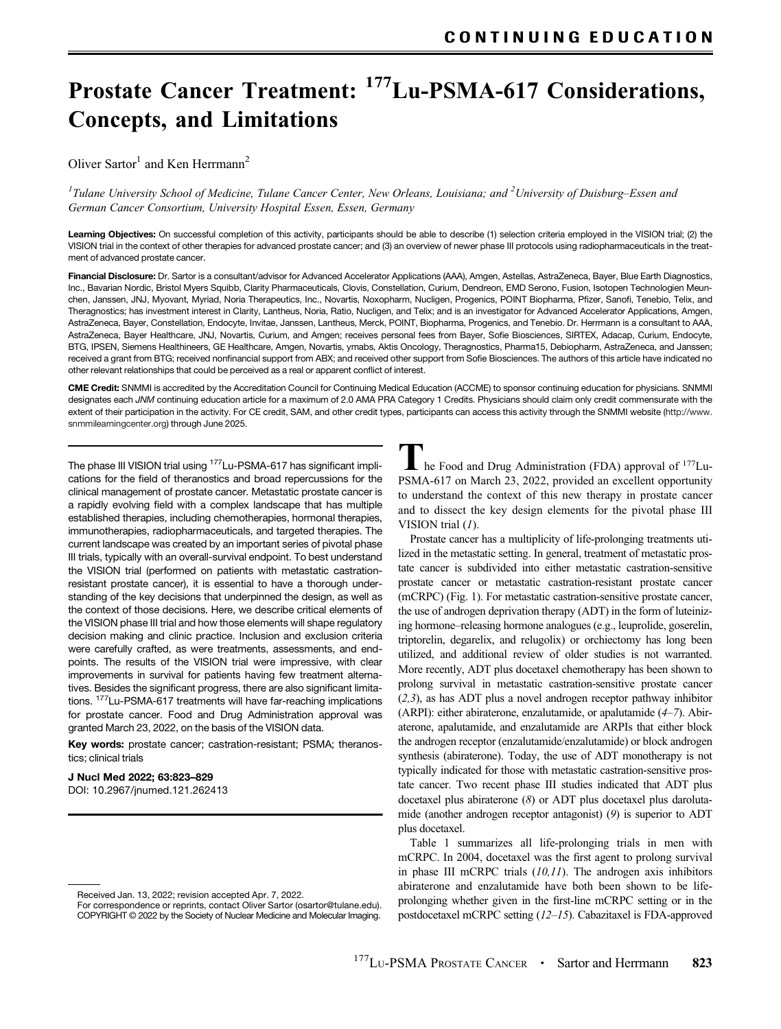# Prostate Cancer Treatment: 177Lu-PSMA-617 Considerations, Concepts, and Limitations

Oliver Sartor<sup>1</sup> and Ken Herrmann<sup>2</sup>

<sup>1</sup>Tulane University School of Medicine, Tulane Cancer Center, New Orleans, Louisiana; and <sup>2</sup>University of Duisburg–Essen and German Cancer Consortium, University Hospital Essen, Essen, Germany

Learning Objectives: On successful completion of this activity, participants should be able to describe (1) selection criteria employed in the VISION trial; (2) the VISION trial in the context of other therapies for advanced prostate cancer; and (3) an overview of newer phase III protocols using radiopharmaceuticals in the treatment of advanced prostate cancer.

Financial Disclosure: Dr. Sartor is a consultant/advisor for Advanced Accelerator Applications (AAA), Amgen, Astellas, AstraZeneca, Bayer, Blue Earth Diagnostics, Inc., Bavarian Nordic, Bristol Myers Squibb, Clarity Pharmaceuticals, Clovis, Constellation, Curium, Dendreon, EMD Serono, Fusion, Isotopen Technologien Meunchen, Janssen, JNJ, Myovant, Myriad, Noria Therapeutics, Inc., Novartis, Noxopharm, Nucligen, Progenics, POINT Biopharma, Pfizer, Sanofi, Tenebio, Telix, and Theragnostics; has investment interest in Clarity, Lantheus, Noria, Ratio, Nucligen, and Telix; and is an investigator for Advanced Accelerator Applications, Amgen, AstraZeneca, Bayer, Constellation, Endocyte, Invitae, Janssen, Lantheus, Merck, POINT, Biopharma, Progenics, and Tenebio. Dr. Herrmann is a consultant to AAA, AstraZeneca, Bayer Healthcare, JNJ, Novartis, Curium, and Amgen; receives personal fees from Bayer, Sofie Biosciences, SIRTEX, Adacap, Curium, Endocyte, BTG, IPSEN, Siemens Healthineers, GE Healthcare, Amgen, Novartis, ymabs, Aktis Oncology, Theragnostics, Pharma15, Debiopharm, AstraZeneca, and Janssen; received a grant from BTG; received nonfinancial support from ABX; and received other support from Sofie Biosciences. The authors of this article have indicated no other relevant relationships that could be perceived as a real or apparent conflict of interest.

CME Credit: SNMMI is accredited by the Accreditation Council for Continuing Medical Education (ACCME) to sponsor continuing education for physicians. SNMMI designates each JNM continuing education article for a maximum of 2.0 AMA PRA Category 1 Credits. Physicians should claim only credit commensurate with the extent of their participation in the activity. For CE credit, SAM, and other credit types, participants can access this activity through the SNMMI website [\(http://www.](http://www.snmmilearningcenter.org) [snmmilearningcenter.org\)](http://www.snmmilearningcenter.org) through June 2025.

The phase III VISION trial using <sup>177</sup>Lu-PSMA-617 has significant implications for the field of theranostics and broad repercussions for the clinical management of prostate cancer. Metastatic prostate cancer is a rapidly evolving field with a complex landscape that has multiple established therapies, including chemotherapies, hormonal therapies, immunotherapies, radiopharmaceuticals, and targeted therapies. The current landscape was created by an important series of pivotal phase III trials, typically with an overall-survival endpoint. To best understand the VISION trial (performed on patients with metastatic castrationresistant prostate cancer), it is essential to have a thorough understanding of the key decisions that underpinned the design, as well as the context of those decisions. Here, we describe critical elements of the VISION phase III trial and how those elements will shape regulatory decision making and clinic practice. Inclusion and exclusion criteria were carefully crafted, as were treatments, assessments, and endpoints. The results of the VISION trial were impressive, with clear improvements in survival for patients having few treatment alternatives. Besides the significant progress, there are also significant limitations. 177Lu-PSMA-617 treatments will have far-reaching implications for prostate cancer. Food and Drug Administration approval was granted March 23, 2022, on the basis of the VISION data.

Key words: prostate cancer; castration-resistant; PSMA; theranostics; clinical trials

#### J Nucl Med 2022; 63:823–829

DOI: [10.2967/jnumed.121.262413](https://doi.org/10.2967/jnumed.121.262413)

 $\mathsf{L}\;$  he Food and Drug Administration (FDA) approval of  $^{177}\text{Lu}$ -PSMA-617 on March 23, 2022, provided an excellent opportunity to understand the context of this new therapy in prostate cancer and to dissect the key design elements for the pivotal phase III VISION trial  $(1)$  $(1)$  $(1)$ .

Prostate cancer has a multiplicity of life-prolonging treatments utilized in the metastatic setting. In general, treatment of metastatic prostate cancer is subdivided into either metastatic castration-sensitive prostate cancer or metastatic castration-resistant prostate cancer (mCRPC) [\(Fig. 1\)](#page-1-0). For metastatic castration-sensitive prostate cancer, the use of androgen deprivation therapy (ADT) in the form of luteinizing hormone–releasing hormone analogues (e.g., leuprolide, goserelin, triptorelin, degarelix, and relugolix) or orchiectomy has long been utilized, and additional review of older studies is not warranted. More recently, ADT plus docetaxel chemotherapy has been shown to prolong survival in metastatic castration-sensitive prostate cancer ([2,3](#page-6-0)), as has ADT plus a novel androgen receptor pathway inhibitor (ARPI): either abiraterone, enzalutamide, or apalutamide ([4](#page-6-0)[–](#page-6-0)[7](#page-6-0)). Abiraterone, apalutamide, and enzalutamide are ARPIs that either block the androgen receptor (enzalutamide/enzalutamide) or block androgen synthesis (abiraterone). Today, the use of ADT monotherapy is not typically indicated for those with metastatic castration-sensitive prostate cancer. Two recent phase III studies indicated that ADT plus docetaxel plus abiraterone ([8](#page-6-0)) or ADT plus docetaxel plus darolutamide (another androgen receptor antagonist) ([9](#page-6-0)) is superior to ADT plus docetaxel.

[Table 1](#page-1-0) summarizes all life-prolonging trials in men with mCRPC. In 2004, docetaxel was the first agent to prolong survival in phase III mCRPC trials  $(10,11)$  $(10,11)$  $(10,11)$  $(10,11)$  $(10,11)$ . The androgen axis inhibitors abiraterone and enzalutamide have both been shown to be lifeprolonging whether given in the first-line mCRPC setting or in the postdocetaxel mCRPC setting ([12](#page-6-0)[–](#page-6-0)[15](#page-6-0)). Cabazitaxel is FDA-approved

Received Jan. 13, 2022; revision accepted Apr. 7, 2022.

For correspondence or reprints, contact Oliver Sartor [\(osartor@tulane.edu\)](mailto:osartor@tulane.edu). COPYRIGHT © 2022 by the Society of Nuclear Medicine and Molecular Imaging.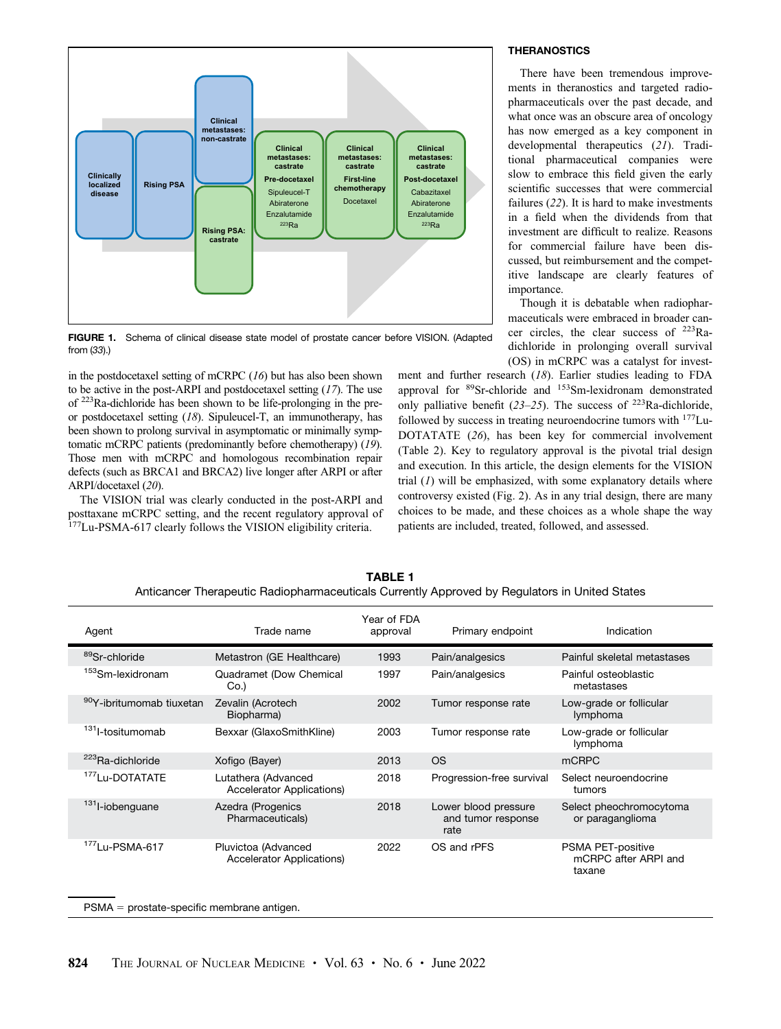<span id="page-1-0"></span>

FIGURE 1. Schema of clinical disease state model of prostate cancer before VISION. (Adapted from ([33](#page-6-0)).)

in the postdocetaxel setting of mCRPC ([16](#page-6-0)) but has also been shown to be active in the post-ARPI and postdocetaxel setting  $(17)$  $(17)$  $(17)$ . The use of 223Ra-dichloride has been shown to be life-prolonging in the preor postdocetaxel setting ([18](#page-6-0)). Sipuleucel-T, an immunotherapy, has been shown to prolong survival in asymptomatic or minimally symptomatic mCRPC patients (predominantly before chemotherapy) ([19](#page-6-0)). Those men with mCRPC and homologous recombination repair defects (such as BRCA1 and BRCA2) live longer after ARPI or after ARPI/docetaxel ([20](#page-6-0)).

The VISION trial was clearly conducted in the post-ARPI and posttaxane mCRPC setting, and the recent regulatory approval of <sup>177</sup>Lu-PSMA-617 clearly follows the VISION eligibility criteria.

## **THERANOSTICS**

There have been tremendous improvements in theranostics and targeted radiopharmaceuticals over the past decade, and what once was an obscure area of oncology has now emerged as a key component in developmental therapeutics ([21](#page-6-0)). Traditional pharmaceutical companies were slow to embrace this field given the early scientific successes that were commercial failures ([22](#page-6-0)). It is hard to make investments in a field when the dividends from that investment are difficult to realize. Reasons for commercial failure have been discussed, but reimbursement and the competitive landscape are clearly features of importance.

Though it is debatable when radiopharmaceuticals were embraced in broader cancer circles, the clear success of 223Radichloride in prolonging overall survival (OS) in mCRPC was a catalyst for invest-

ment and further research ([18](#page-6-0)). Earlier studies leading to FDA approval for 89Sr-chloride and 153Sm-lexidronam demonstrated only palliative benefit  $(23-25)$  $(23-25)$  $(23-25)$  $(23-25)$  $(23-25)$ . The success of  $223$ Ra-dichloride, followed by success in treating neuroendocrine tumors with  $177$ Lu-DOTATATE ([26](#page-6-0)), has been key for commercial involvement ([Table 2](#page-2-0)). Key to regulatory approval is the pivotal trial design and execution. In this article, the design elements for the VISION trial  $(1)$  $(1)$  $(1)$  will be emphasized, with some explanatory details where controversy existed ([Fig. 2\)](#page-2-0). As in any trial design, there are many choices to be made, and these choices as a whole shape the way patients are included, treated, followed, and assessed.

| Agent                                | Trade name                                              | Year of FDA<br>approval | Primary endpoint                                   | Indication                                          |
|--------------------------------------|---------------------------------------------------------|-------------------------|----------------------------------------------------|-----------------------------------------------------|
| 89 <sub>Sr-chloride</sub>            | Metastron (GE Healthcare)                               | 1993                    | Pain/analgesics                                    | Painful skeletal metastases                         |
| <sup>153</sup> Sm-lexidronam         | Quadramet (Dow Chemical<br>Co.                          | 1997                    | Pain/analgesics                                    | Painful osteoblastic<br>metastases                  |
| <sup>90</sup> Y-ibritumomab tiuxetan | Zevalin (Acrotech<br>Biopharma)                         | 2002                    | Tumor response rate                                | Low-grade or follicular<br>lymphoma                 |
| <sup>131</sup> I-tositumomab         | Bexxar (GlaxoSmithKline)                                | 2003                    | Tumor response rate                                | Low-grade or follicular<br>lymphoma                 |
| <sup>223</sup> Ra-dichloride         | Xofigo (Bayer)                                          | 2013                    | <b>OS</b>                                          | <b>mCRPC</b>                                        |
| <sup>177</sup> Lu-DOTATATE           | Lutathera (Advanced<br>Accelerator Applications)        | 2018                    | Progression-free survival                          | Select neuroendocrine<br>tumors                     |
| <sup>131</sup> I-iobenguane          | Azedra (Progenics<br>Pharmaceuticals)                   | 2018                    | Lower blood pressure<br>and tumor response<br>rate | Select pheochromocytoma<br>or paraganglioma         |
| $177$ Lu-PSMA-617                    | Pluvictoa (Advanced<br><b>Accelerator Applications)</b> | 2022                    | OS and rPFS                                        | PSMA PET-positive<br>mCRPC after ARPI and<br>taxane |

TARI F 1 Anticancer Therapeutic Radiopharmaceuticals Currently Approved by Regulators in United States

 $PSMA =$  prostate-specific membrane antigen.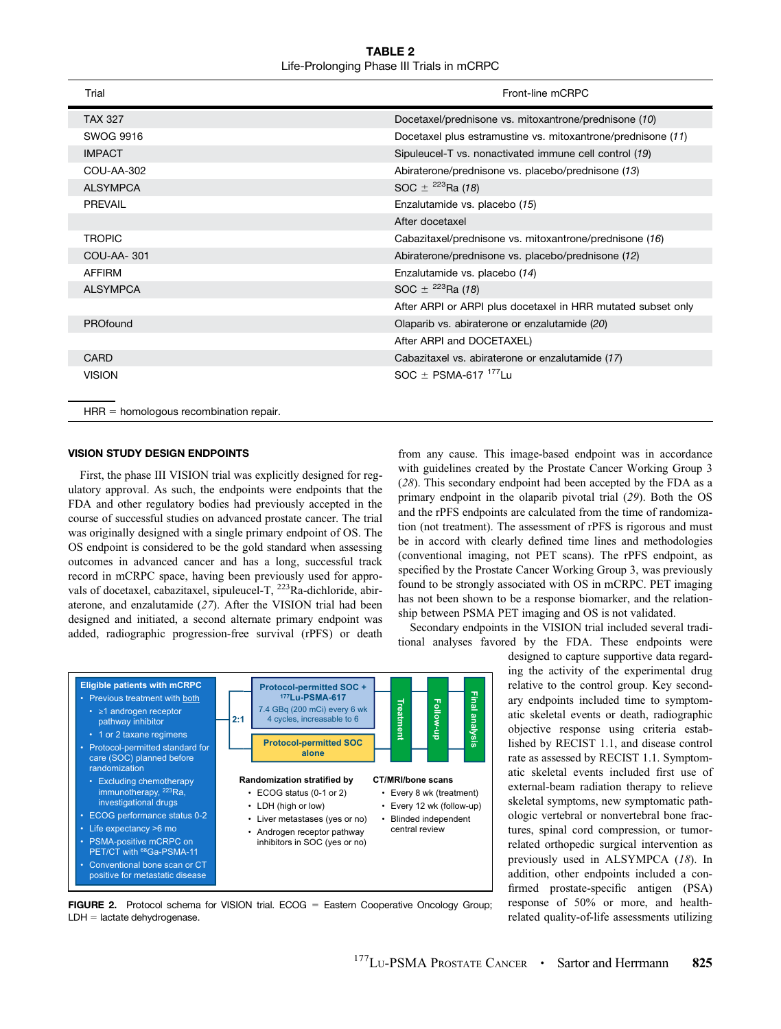TABLE 2 Life-Prolonging Phase III Trials in mCRPC

<span id="page-2-0"></span>

| Trial                                    | Front-line mCRPC                                             |
|------------------------------------------|--------------------------------------------------------------|
| <b>TAX 327</b>                           | Docetaxel/prednisone vs. mitoxantrone/prednisone (10)        |
| SWOG 9916                                | Docetaxel plus estramustine vs. mitoxantrone/prednisone (11) |
| <b>IMPACT</b>                            | Sipuleucel-T vs. nonactivated immune cell control (19)       |
| COU-AA-302                               | Abiraterone/prednisone vs. placebo/prednisone (13)           |
| <b>ALSYMPCA</b>                          | SOC $\pm$ <sup>223</sup> Ra (18)                             |
| <b>PREVAIL</b>                           | Enzalutamide vs. placebo (15)                                |
|                                          | After docetaxel                                              |
| <b>TROPIC</b>                            | Cabazitaxel/prednisone vs. mitoxantrone/prednisone (16)      |
| COU-AA-301                               | Abiraterone/prednisone vs. placebo/prednisone (12)           |
| AFFIRM                                   | Enzalutamide vs. placebo (14)                                |
| <b>ALSYMPCA</b>                          | SOC $\pm$ <sup>223</sup> Ra (18)                             |
|                                          | After ARPI or ARPI plus docetaxel in HRR mutated subset only |
| PROfound                                 | Olaparib vs. abiraterone or enzalutamide (20)                |
|                                          | After ARPI and DOCETAXEL)                                    |
| <b>CARD</b>                              | Cabazitaxel vs. abiraterone or enzalutamide (17)             |
| <b>VISION</b>                            | $SOC \pm P SMA-617$ <sup>177</sup> Lu                        |
|                                          |                                                              |
| $HRR =$ homologous recombination repair. |                                                              |

### VISION STUDY DESIGN ENDPOINTS

First, the phase III VISION trial was explicitly designed for regulatory approval. As such, the endpoints were endpoints that the FDA and other regulatory bodies had previously accepted in the course of successful studies on advanced prostate cancer. The trial was originally designed with a single primary endpoint of OS. The OS endpoint is considered to be the gold standard when assessing outcomes in advanced cancer and has a long, successful track record in mCRPC space, having been previously used for approvals of docetaxel, cabazitaxel, sipuleucel-T, <sup>223</sup>Ra-dichloride, abiraterone, and enzalutamide ([27](#page-6-0)). After the VISION trial had been designed and initiated, a second alternate primary endpoint was added, radiographic progression-free survival (rPFS) or death



**FIGURE 2.** Protocol schema for VISION trial.  $ECOG = Eastern Cooperative Oncology Group;$  $LDH =$  lactate dehydrogenase.

from any cause. This image-based endpoint was in accordance with guidelines created by the Prostate Cancer Working Group 3 ([28](#page-6-0)). This secondary endpoint had been accepted by the FDA as a primary endpoint in the olaparib pivotal trial ([29](#page-6-0)). Both the OS and the rPFS endpoints are calculated from the time of randomization (not treatment). The assessment of rPFS is rigorous and must be in accord with clearly defined time lines and methodologies (conventional imaging, not PET scans). The rPFS endpoint, as specified by the Prostate Cancer Working Group 3, was previously found to be strongly associated with OS in mCRPC. PET imaging has not been shown to be a response biomarker, and the relationship between PSMA PET imaging and OS is not validated.

Secondary endpoints in the VISION trial included several traditional analyses favored by the FDA. These endpoints were

> designed to capture supportive data regarding the activity of the experimental drug relative to the control group. Key secondary endpoints included time to symptomatic skeletal events or death, radiographic objective response using criteria established by RECIST 1.1, and disease control rate as assessed by RECIST 1.1. Symptomatic skeletal events included first use of external-beam radiation therapy to relieve skeletal symptoms, new symptomatic pathologic vertebral or nonvertebral bone fractures, spinal cord compression, or tumorrelated orthopedic surgical intervention as previously used in ALSYMPCA ([18](#page-6-0)). In addition, other endpoints included a confirmed prostate-specific antigen (PSA) response of 50% or more, and healthrelated quality-of-life assessments utilizing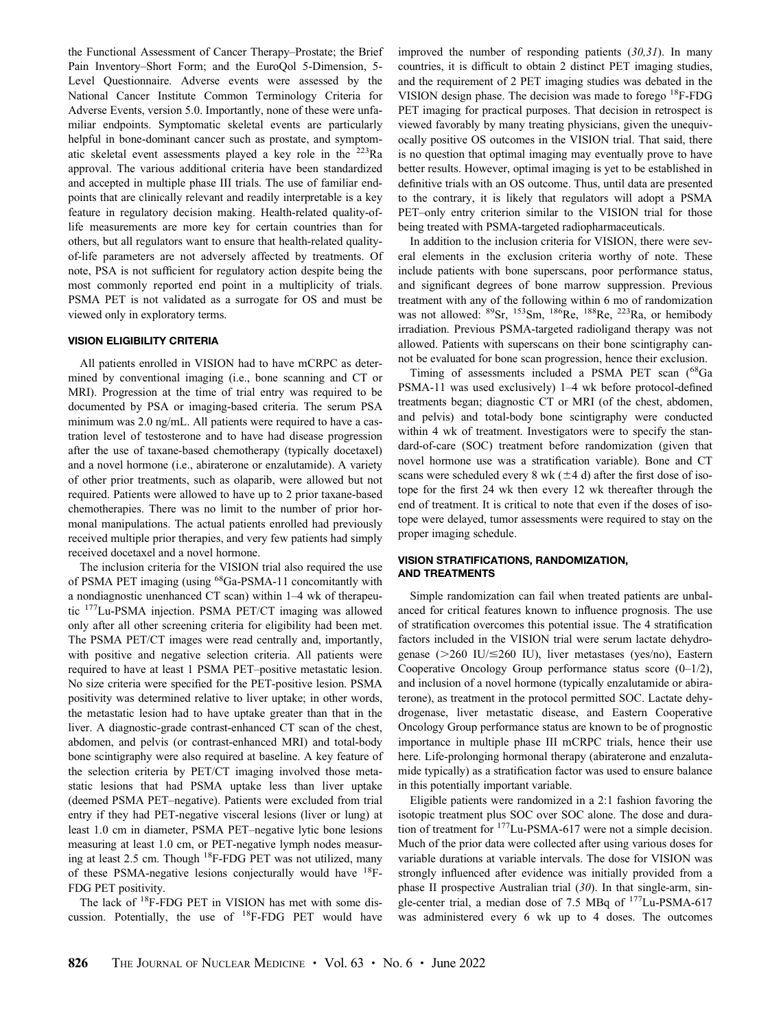the Functional Assessment of Cancer Therapy–Prostate; the Brief Pain Inventory–Short Form; and the EuroQol 5-Dimension, 5- Level Questionnaire. Adverse events were assessed by the National Cancer Institute Common Terminology Criteria for Adverse Events, version 5.0. Importantly, none of these were unfamiliar endpoints. Symptomatic skeletal events are particularly helpful in bone-dominant cancer such as prostate, and symptomatic skeletal event assessments played a key role in the  $^{223}$ Ra approval. The various additional criteria have been standardized and accepted in multiple phase III trials. The use of familiar endpoints that are clinically relevant and readily interpretable is a key feature in regulatory decision making. Health-related quality-oflife measurements are more key for certain countries than for others, but all regulators want to ensure that health-related qualityof-life parameters are not adversely affected by treatments. Of note, PSA is not sufficient for regulatory action despite being the most commonly reported end point in a multiplicity of trials. PSMA PET is not validated as a surrogate for OS and must be viewed only in exploratory terms.

#### VISION ELIGIBILITY CRITERIA

All patients enrolled in VISION had to have mCRPC as determined by conventional imaging (i.e., bone scanning and CT or MRI). Progression at the time of trial entry was required to be documented by PSA or imaging-based criteria. The serum PSA minimum was 2.0 ng/mL. All patients were required to have a castration level of testosterone and to have had disease progression after the use of taxane-based chemotherapy (typically docetaxel) and a novel hormone (i.e., abiraterone or enzalutamide). A variety of other prior treatments, such as olaparib, were allowed but not required. Patients were allowed to have up to 2 prior taxane-based chemotherapies. There was no limit to the number of prior hormonal manipulations. The actual patients enrolled had previously received multiple prior therapies, and very few patients had simply received docetaxel and a novel hormone.

The inclusion criteria for the VISION trial also required the use of PSMA PET imaging (using 68Ga-PSMA-11 concomitantly with a nondiagnostic unenhanced CT scan) within 1–4 wk of therapeutic 177Lu-PSMA injection. PSMA PET/CT imaging was allowed only after all other screening criteria for eligibility had been met. The PSMA PET/CT images were read centrally and, importantly, with positive and negative selection criteria. All patients were required to have at least 1 PSMA PET–positive metastatic lesion. No size criteria were specified for the PET-positive lesion. PSMA positivity was determined relative to liver uptake; in other words, the metastatic lesion had to have uptake greater than that in the liver. A diagnostic-grade contrast-enhanced CT scan of the chest, abdomen, and pelvis (or contrast-enhanced MRI) and total-body bone scintigraphy were also required at baseline. A key feature of the selection criteria by PET/CT imaging involved those metastatic lesions that had PSMA uptake less than liver uptake (deemed PSMA PET–negative). Patients were excluded from trial entry if they had PET-negative visceral lesions (liver or lung) at least 1.0 cm in diameter, PSMA PET–negative lytic bone lesions measuring at least 1.0 cm, or PET-negative lymph nodes measuring at least 2.5 cm. Though <sup>18</sup>F-FDG PET was not utilized, many of these PSMA-negative lesions conjecturally would have 18F-FDG PET positivity.

The lack of 18F-FDG PET in VISION has met with some discussion. Potentially, the use of  $^{18}$ F-FDG PET would have improved the number of responding patients ([30,31](#page-6-0)). In many countries, it is difficult to obtain 2 distinct PET imaging studies, and the requirement of 2 PET imaging studies was debated in the VISION design phase. The decision was made to forego 18F-FDG PET imaging for practical purposes. That decision in retrospect is viewed favorably by many treating physicians, given the unequivocally positive OS outcomes in the VISION trial. That said, there is no question that optimal imaging may eventually prove to have better results. However, optimal imaging is yet to be established in definitive trials with an OS outcome. Thus, until data are presented to the contrary, it is likely that regulators will adopt a PSMA PET–only entry criterion similar to the VISION trial for those being treated with PSMA-targeted radiopharmaceuticals.

In addition to the inclusion criteria for VISION, there were several elements in the exclusion criteria worthy of note. These include patients with bone superscans, poor performance status, and significant degrees of bone marrow suppression. Previous treatment with any of the following within 6 mo of randomization was not allowed:  ${}^{89}Sr$ ,  ${}^{153}Sm$ ,  ${}^{186}Re$ ,  ${}^{188}Re$ ,  ${}^{223}Ra$ , or hemibody irradiation. Previous PSMA-targeted radioligand therapy was not allowed. Patients with superscans on their bone scintigraphy cannot be evaluated for bone scan progression, hence their exclusion.

Timing of assessments included a PSMA PET scan (<sup>68</sup>Ga PSMA-11 was used exclusively) 1–4 wk before protocol-defined treatments began; diagnostic CT or MRI (of the chest, abdomen, and pelvis) and total-body bone scintigraphy were conducted within 4 wk of treatment. Investigators were to specify the standard-of-care (SOC) treatment before randomization (given that novel hormone use was a stratification variable). Bone and CT scans were scheduled every 8 wk ( $\pm$ 4 d) after the first dose of isotope for the first 24 wk then every 12 wk thereafter through the end of treatment. It is critical to note that even if the doses of isotope were delayed, tumor assessments were required to stay on the proper imaging schedule.

### VISION STRATIFICATIONS, RANDOMIZATION, AND TREATMENTS

Simple randomization can fail when treated patients are unbalanced for critical features known to influence prognosis. The use of stratification overcomes this potential issue. The 4 stratification factors included in the VISION trial were serum lactate dehydrogenase ( $>260$  IU/ $\leq 260$  IU), liver metastases (yes/no), Eastern Cooperative Oncology Group performance status score (0–1/2), and inclusion of a novel hormone (typically enzalutamide or abiraterone), as treatment in the protocol permitted SOC. Lactate dehydrogenase, liver metastatic disease, and Eastern Cooperative Oncology Group performance status are known to be of prognostic importance in multiple phase III mCRPC trials, hence their use here. Life-prolonging hormonal therapy (abiraterone and enzalutamide typically) as a stratification factor was used to ensure balance in this potentially important variable.

Eligible patients were randomized in a 2:1 fashion favoring the isotopic treatment plus SOC over SOC alone. The dose and duration of treatment for  $177$ Lu-PSMA-617 were not a simple decision. Much of the prior data were collected after using various doses for variable durations at variable intervals. The dose for VISION was strongly influenced after evidence was initially provided from a phase II prospective Australian trial  $(30)$  $(30)$  $(30)$ . In that single-arm, single-center trial, a median dose of 7.5 MBq of <sup>177</sup>Lu-PSMA-617 was administered every 6 wk up to 4 doses. The outcomes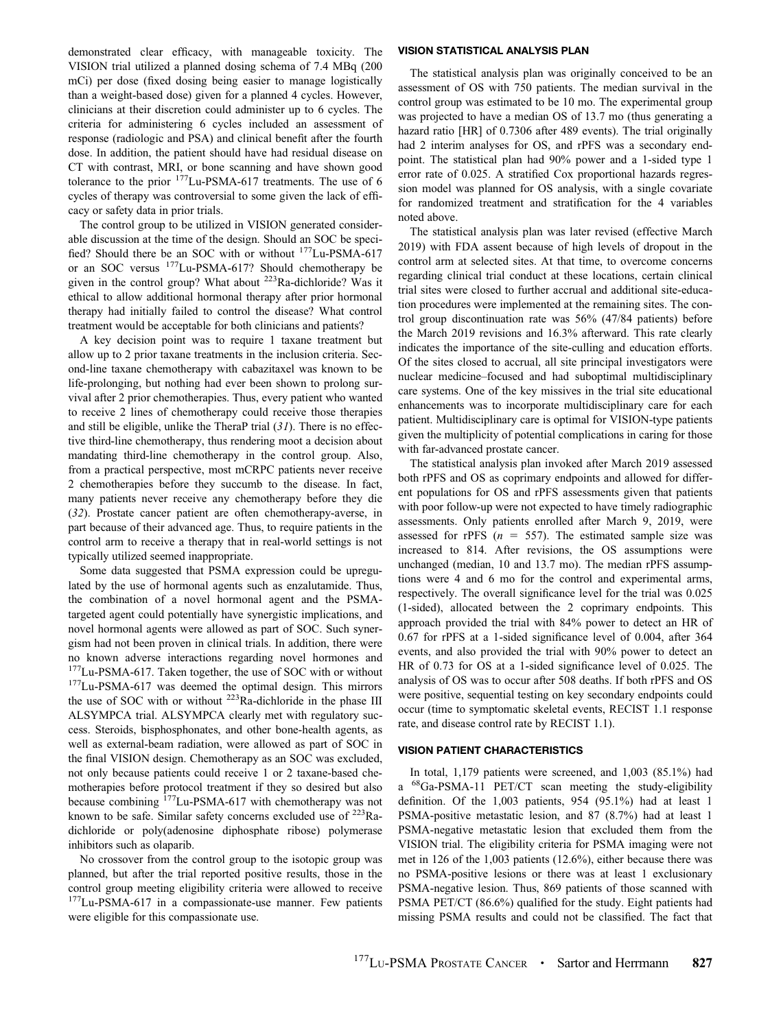demonstrated clear efficacy, with manageable toxicity. The VISION trial utilized a planned dosing schema of 7.4 MBq (200 mCi) per dose (fixed dosing being easier to manage logistically than a weight-based dose) given for a planned 4 cycles. However, clinicians at their discretion could administer up to 6 cycles. The criteria for administering 6 cycles included an assessment of response (radiologic and PSA) and clinical benefit after the fourth dose. In addition, the patient should have had residual disease on CT with contrast, MRI, or bone scanning and have shown good tolerance to the prior 177Lu-PSMA-617 treatments. The use of 6 cycles of therapy was controversial to some given the lack of efficacy or safety data in prior trials.

The control group to be utilized in VISION generated considerable discussion at the time of the design. Should an SOC be specified? Should there be an SOC with or without 177Lu-PSMA-617 or an SOC versus 177Lu-PSMA-617? Should chemotherapy be given in the control group? What about 223Ra-dichloride? Was it ethical to allow additional hormonal therapy after prior hormonal therapy had initially failed to control the disease? What control treatment would be acceptable for both clinicians and patients?

A key decision point was to require 1 taxane treatment but allow up to 2 prior taxane treatments in the inclusion criteria. Second-line taxane chemotherapy with cabazitaxel was known to be life-prolonging, but nothing had ever been shown to prolong survival after 2 prior chemotherapies. Thus, every patient who wanted to receive 2 lines of chemotherapy could receive those therapies and still be eligible, unlike the TheraP trial  $(31)$  $(31)$  $(31)$ . There is no effective third-line chemotherapy, thus rendering moot a decision about mandating third-line chemotherapy in the control group. Also, from a practical perspective, most mCRPC patients never receive 2 chemotherapies before they succumb to the disease. In fact, many patients never receive any chemotherapy before they die ([32](#page-6-0)). Prostate cancer patient are often chemotherapy-averse, in part because of their advanced age. Thus, to require patients in the control arm to receive a therapy that in real-world settings is not typically utilized seemed inappropriate.

Some data suggested that PSMA expression could be upregulated by the use of hormonal agents such as enzalutamide. Thus, the combination of a novel hormonal agent and the PSMAtargeted agent could potentially have synergistic implications, and novel hormonal agents were allowed as part of SOC. Such synergism had not been proven in clinical trials. In addition, there were no known adverse interactions regarding novel hormones and <sup>177</sup>Lu-PSMA-617. Taken together, the use of SOC with or without 177Lu-PSMA-617 was deemed the optimal design. This mirrors the use of SOC with or without <sup>223</sup>Ra-dichloride in the phase III ALSYMPCA trial. ALSYMPCA clearly met with regulatory success. Steroids, bisphosphonates, and other bone-health agents, as well as external-beam radiation, were allowed as part of SOC in the final VISION design. Chemotherapy as an SOC was excluded, not only because patients could receive 1 or 2 taxane-based chemotherapies before protocol treatment if they so desired but also because combining 177Lu-PSMA-617 with chemotherapy was not known to be safe. Similar safety concerns excluded use of 223Radichloride or poly(adenosine diphosphate ribose) polymerase inhibitors such as olaparib.

No crossover from the control group to the isotopic group was planned, but after the trial reported positive results, those in the control group meeting eligibility criteria were allowed to receive <sup>177</sup>Lu-PSMA-617 in a compassionate-use manner. Few patients were eligible for this compassionate use.

#### VISION STATISTICAL ANALYSIS PLAN

The statistical analysis plan was originally conceived to be an assessment of OS with 750 patients. The median survival in the control group was estimated to be 10 mo. The experimental group was projected to have a median OS of 13.7 mo (thus generating a hazard ratio [HR] of 0.7306 after 489 events). The trial originally had 2 interim analyses for OS, and rPFS was a secondary endpoint. The statistical plan had 90% power and a 1-sided type 1 error rate of 0.025. A stratified Cox proportional hazards regression model was planned for OS analysis, with a single covariate for randomized treatment and stratification for the 4 variables noted above.

The statistical analysis plan was later revised (effective March 2019) with FDA assent because of high levels of dropout in the control arm at selected sites. At that time, to overcome concerns regarding clinical trial conduct at these locations, certain clinical trial sites were closed to further accrual and additional site-education procedures were implemented at the remaining sites. The control group discontinuation rate was 56% (47/84 patients) before the March 2019 revisions and 16.3% afterward. This rate clearly indicates the importance of the site-culling and education efforts. Of the sites closed to accrual, all site principal investigators were nuclear medicine–focused and had suboptimal multidisciplinary care systems. One of the key missives in the trial site educational enhancements was to incorporate multidisciplinary care for each patient. Multidisciplinary care is optimal for VISION-type patients given the multiplicity of potential complications in caring for those with far-advanced prostate cancer.

The statistical analysis plan invoked after March 2019 assessed both rPFS and OS as coprimary endpoints and allowed for different populations for OS and rPFS assessments given that patients with poor follow-up were not expected to have timely radiographic assessments. Only patients enrolled after March 9, 2019, were assessed for rPFS ( $n = 557$ ). The estimated sample size was increased to 814. After revisions, the OS assumptions were unchanged (median, 10 and 13.7 mo). The median rPFS assumptions were 4 and 6 mo for the control and experimental arms, respectively. The overall significance level for the trial was 0.025 (1-sided), allocated between the 2 coprimary endpoints. This approach provided the trial with 84% power to detect an HR of 0.67 for rPFS at a 1-sided significance level of 0.004, after 364 events, and also provided the trial with 90% power to detect an HR of 0.73 for OS at a 1-sided significance level of 0.025. The analysis of OS was to occur after 508 deaths. If both rPFS and OS were positive, sequential testing on key secondary endpoints could occur (time to symptomatic skeletal events, RECIST 1.1 response rate, and disease control rate by RECIST 1.1).

#### VISION PATIENT CHARACTERISTICS

In total, 1,179 patients were screened, and 1,003 (85.1%) had a 68Ga-PSMA-11 PET/CT scan meeting the study-eligibility definition. Of the 1,003 patients, 954 (95.1%) had at least 1 PSMA-positive metastatic lesion, and 87 (8.7%) had at least 1 PSMA-negative metastatic lesion that excluded them from the VISION trial. The eligibility criteria for PSMA imaging were not met in 126 of the 1,003 patients (12.6%), either because there was no PSMA-positive lesions or there was at least 1 exclusionary PSMA-negative lesion. Thus, 869 patients of those scanned with PSMA PET/CT (86.6%) qualified for the study. Eight patients had missing PSMA results and could not be classified. The fact that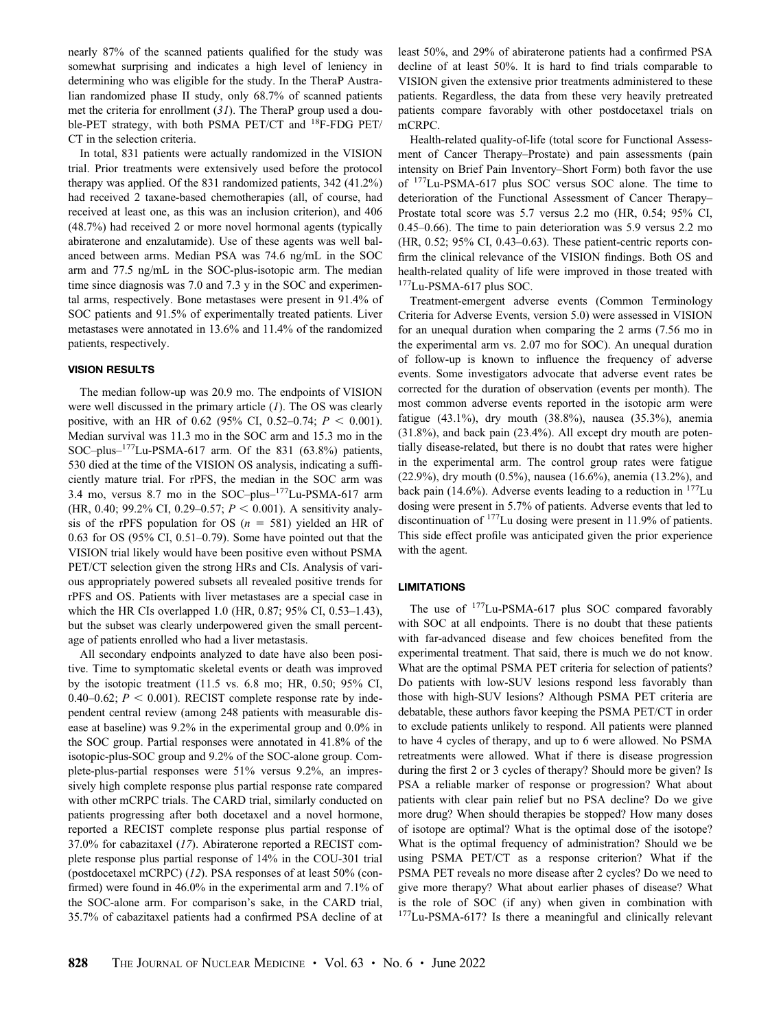nearly 87% of the scanned patients qualified for the study was somewhat surprising and indicates a high level of leniency in determining who was eligible for the study. In the TheraP Australian randomized phase II study, only 68.7% of scanned patients met the criteria for enrollment ([31](#page-6-0)). The TheraP group used a double-PET strategy, with both PSMA PET/CT and <sup>18</sup>F-FDG PET/ CT in the selection criteria.

In total, 831 patients were actually randomized in the VISION trial. Prior treatments were extensively used before the protocol therapy was applied. Of the 831 randomized patients, 342 (41.2%) had received 2 taxane-based chemotherapies (all, of course, had received at least one, as this was an inclusion criterion), and 406 (48.7%) had received 2 or more novel hormonal agents (typically abiraterone and enzalutamide). Use of these agents was well balanced between arms. Median PSA was 74.6 ng/mL in the SOC arm and 77.5 ng/mL in the SOC-plus-isotopic arm. The median time since diagnosis was 7.0 and 7.3 y in the SOC and experimental arms, respectively. Bone metastases were present in 91.4% of SOC patients and 91.5% of experimentally treated patients. Liver metastases were annotated in 13.6% and 11.4% of the randomized patients, respectively.

## VISION RESULTS

The median follow-up was 20.9 mo. The endpoints of VISION were well discussed in the primary article  $(1)$  $(1)$  $(1)$ . The OS was clearly positive, with an HR of 0.62 (95% CI, 0.52–0.74;  $P < 0.001$ ). Median survival was 11.3 mo in the SOC arm and 15.3 mo in the SOC–plus– $177$ Lu-PSMA-617 arm. Of the 831 (63.8%) patients, 530 died at the time of the VISION OS analysis, indicating a sufficiently mature trial. For rPFS, the median in the SOC arm was 3.4 mo, versus 8.7 mo in the SOC–plus–177Lu-PSMA-617 arm (HR, 0.40; 99.2% CI, 0.29–0.57;  $P < 0.001$ ). A sensitivity analysis of the rPFS population for OS  $(n = 581)$  yielded an HR of 0.63 for OS (95% CI, 0.51–0.79). Some have pointed out that the VISION trial likely would have been positive even without PSMA PET/CT selection given the strong HRs and CIs. Analysis of various appropriately powered subsets all revealed positive trends for rPFS and OS. Patients with liver metastases are a special case in which the HR CIs overlapped 1.0 (HR, 0.87; 95% CI, 0.53–1.43), but the subset was clearly underpowered given the small percentage of patients enrolled who had a liver metastasis.

All secondary endpoints analyzed to date have also been positive. Time to symptomatic skeletal events or death was improved by the isotopic treatment (11.5 vs. 6.8 mo; HR, 0.50; 95% CI, 0.40–0.62;  $P < 0.001$ ). RECIST complete response rate by independent central review (among 248 patients with measurable disease at baseline) was 9.2% in the experimental group and 0.0% in the SOC group. Partial responses were annotated in 41.8% of the isotopic-plus-SOC group and 9.2% of the SOC-alone group. Complete-plus-partial responses were 51% versus 9.2%, an impressively high complete response plus partial response rate compared with other mCRPC trials. The CARD trial, similarly conducted on patients progressing after both docetaxel and a novel hormone, reported a RECIST complete response plus partial response of 37.0% for cabazitaxel ([17](#page-6-0)). Abiraterone reported a RECIST complete response plus partial response of 14% in the COU-301 trial (postdocetaxel mCRPC) ([12](#page-6-0)). PSA responses of at least 50% (confirmed) were found in 46.0% in the experimental arm and 7.1% of the SOC-alone arm. For comparison's sake, in the CARD trial, 35.7% of cabazitaxel patients had a confirmed PSA decline of at least 50%, and 29% of abiraterone patients had a confirmed PSA decline of at least 50%. It is hard to find trials comparable to VISION given the extensive prior treatments administered to these patients. Regardless, the data from these very heavily pretreated patients compare favorably with other postdocetaxel trials on mCRPC.

Health-related quality-of-life (total score for Functional Assessment of Cancer Therapy–Prostate) and pain assessments (pain intensity on Brief Pain Inventory–Short Form) both favor the use of 177Lu-PSMA-617 plus SOC versus SOC alone. The time to deterioration of the Functional Assessment of Cancer Therapy– Prostate total score was 5.7 versus 2.2 mo (HR, 0.54; 95% CI, 0.45–0.66). The time to pain deterioration was 5.9 versus 2.2 mo (HR, 0.52; 95% CI, 0.43–0.63). These patient-centric reports confirm the clinical relevance of the VISION findings. Both OS and health-related quality of life were improved in those treated with 177Lu-PSMA-617 plus SOC.

Treatment-emergent adverse events (Common Terminology Criteria for Adverse Events, version 5.0) were assessed in VISION for an unequal duration when comparing the 2 arms (7.56 mo in the experimental arm vs. 2.07 mo for SOC). An unequal duration of follow-up is known to influence the frequency of adverse events. Some investigators advocate that adverse event rates be corrected for the duration of observation (events per month). The most common adverse events reported in the isotopic arm were fatigue (43.1%), dry mouth (38.8%), nausea (35.3%), anemia (31.8%), and back pain (23.4%). All except dry mouth are potentially disease-related, but there is no doubt that rates were higher in the experimental arm. The control group rates were fatigue (22.9%), dry mouth (0.5%), nausea (16.6%), anemia (13.2%), and back pain (14.6%). Adverse events leading to a reduction in  $^{177}$ Lu dosing were present in 5.7% of patients. Adverse events that led to discontinuation of 177Lu dosing were present in 11.9% of patients. This side effect profile was anticipated given the prior experience with the agent.

## LIMITATIONS

The use of <sup>177</sup>Lu-PSMA-617 plus SOC compared favorably with SOC at all endpoints. There is no doubt that these patients with far-advanced disease and few choices benefited from the experimental treatment. That said, there is much we do not know. What are the optimal PSMA PET criteria for selection of patients? Do patients with low-SUV lesions respond less favorably than those with high-SUV lesions? Although PSMA PET criteria are debatable, these authors favor keeping the PSMA PET/CT in order to exclude patients unlikely to respond. All patients were planned to have 4 cycles of therapy, and up to 6 were allowed. No PSMA retreatments were allowed. What if there is disease progression during the first 2 or 3 cycles of therapy? Should more be given? Is PSA a reliable marker of response or progression? What about patients with clear pain relief but no PSA decline? Do we give more drug? When should therapies be stopped? How many doses of isotope are optimal? What is the optimal dose of the isotope? What is the optimal frequency of administration? Should we be using PSMA PET/CT as a response criterion? What if the PSMA PET reveals no more disease after 2 cycles? Do we need to give more therapy? What about earlier phases of disease? What is the role of SOC (if any) when given in combination with <sup>177</sup>Lu-PSMA-617? Is there a meaningful and clinically relevant